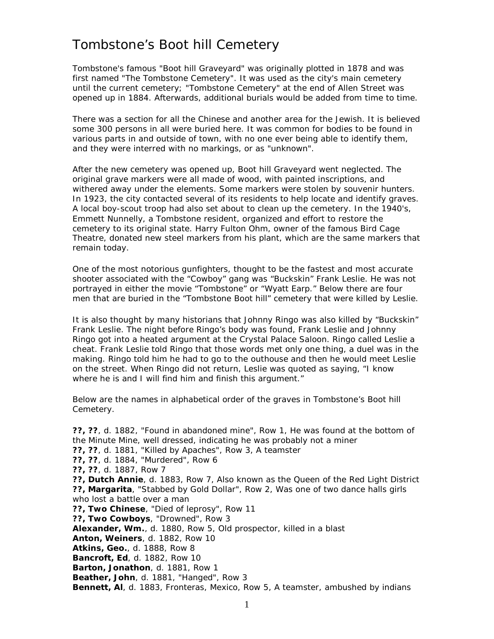## Tombstone's Boot hill Cemetery

Tombstone's famous "Boot hill Graveyard" was originally plotted in 1878 and was first named "The Tombstone Cemetery". It was used as the city's main cemetery until the current cemetery; "Tombstone Cemetery" at the end of Allen Street was opened up in 1884. Afterwards, additional burials would be added from time to time.

There was a section for all the Chinese and another area for the Jewish. It is believed some 300 persons in all were buried here. It was common for bodies to be found in various parts in and outside of town, with no one ever being able to identify them, and they were interred with no markings, or as "unknown".

After the new cemetery was opened up, Boot hill Graveyard went neglected. The original grave markers were all made of wood, with painted inscriptions, and withered away under the elements. Some markers were stolen by souvenir hunters. In 1923, the city contacted several of its residents to help locate and identify graves. A local boy-scout troop had also set about to clean up the cemetery. In the 1940's, Emmett Nunnelly, a Tombstone resident, organized and effort to restore the cemetery to its original state. Harry Fulton Ohm, owner of the famous Bird Cage Theatre, donated new steel markers from his plant, which are the same markers that remain today.

One of the most notorious gunfighters, thought to be the fastest and most accurate shooter associated with the "Cowboy" gang was "Buckskin" Frank Leslie. He was not portrayed in either the movie "Tombstone" or "Wyatt Earp." Below there are four men that are buried in the "Tombstone Boot hill" cemetery that were killed by Leslie.

It is also thought by many historians that Johnny Ringo was also killed by "Buckskin" Frank Leslie. The night before Ringo's body was found, Frank Leslie and Johnny Ringo got into a heated argument at the Crystal Palace Saloon. Ringo called Leslie a cheat. Frank Leslie told Ringo that those words met only one thing, a duel was in the making. Ringo told him he had to go to the outhouse and then he would meet Leslie on the street. When Ringo did not return, Leslie was quoted as saying, "I know where he is and I will find him and finish this argument."

Below are the names in alphabetical order of the graves in Tombstone's Boot hill Cemetery.

**??, ??**, d. 1882, "Found in abandoned mine", Row 1, He was found at the bottom of the Minute Mine, well dressed, indicating he was probably not a miner **??, ??**, d. 1881, "Killed by Apaches", Row 3, A teamster **??, ??**, d. 1884, "Murdered", Row 6 **??, ??**, d. 1887, Row 7 **??, Dutch Annie**, d. 1883, Row 7, Also known as the Queen of the Red Light District **??, Margarita**, "Stabbed by Gold Dollar", Row 2, Was one of two dance halls girls who lost a battle over a man **??, Two Chinese**, "Died of leprosy", Row 11 **??, Two Cowboys**, "Drowned", Row 3 **Alexander, Wm.**, d. 1880, Row 5, Old prospector, killed in a blast **Anton, Weiners**, d. 1882, Row 10 **Atkins, Geo.**, d. 1888, Row 8 **Bancroft, Ed**, d. 1882, Row 10 **Barton, Jonathon**, d. 1881, Row 1 **Beather, John**, d. 1881, "Hanged", Row 3 **Bennett, Al**, d. 1883, Fronteras, Mexico, Row 5, A teamster, ambushed by indians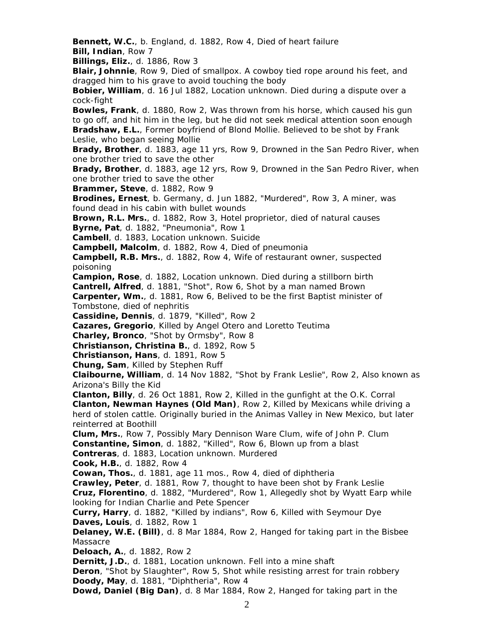**Bennett, W.C.**, b. England, d. 1882, Row 4, Died of heart failure **Bill, Indian**, Row 7

**Billings, Eliz.**, d. 1886, Row 3

**Blair, Johnnie**, Row 9, Died of smallpox. A cowboy tied rope around his feet, and dragged him to his grave to avoid touching the body

**Bobier, William**, d. 16 Jul 1882, Location unknown. Died during a dispute over a cock-fight

**Bowles, Frank**, d. 1880, Row 2, Was thrown from his horse, which caused his gun to go off, and hit him in the leg, but he did not seek medical attention soon enough **Bradshaw, E.L.**, Former boyfriend of Blond Mollie. Believed to be shot by Frank Leslie, who began seeing Mollie

**Brady, Brother**, d. 1883, age 11 yrs, Row 9, Drowned in the San Pedro River, when one brother tried to save the other

**Brady, Brother**, d. 1883, age 12 yrs, Row 9, Drowned in the San Pedro River, when one brother tried to save the other

**Brammer, Steve**, d. 1882, Row 9

**Brodines, Ernest**, b. Germany, d. Jun 1882, "Murdered", Row 3, A miner, was found dead in his cabin with bullet wounds

**Brown, R.L. Mrs.**, d. 1882, Row 3, Hotel proprietor, died of natural causes

**Byrne, Pat**, d. 1882, "Pneumonia", Row 1

**Cambell**, d. 1883, Location unknown. Suicide

**Campbell, Malcolm**, d. 1882, Row 4, Died of pneumonia

**Campbell, R.B. Mrs.**, d. 1882, Row 4, Wife of restaurant owner, suspected poisoning

**Campion, Rose**, d. 1882, Location unknown. Died during a stillborn birth

**Cantrell, Alfred**, d. 1881, "Shot", Row 6, Shot by a man named Brown

**Carpenter, Wm.**, d. 1881, Row 6, Belived to be the first Baptist minister of Tombstone, died of nephritis

**Cassidine, Dennis**, d. 1879, "Killed", Row 2

**Cazares, Gregorio**, Killed by Angel Otero and Loretto Teutima

**Charley, Bronco**, "Shot by Ormsby", Row 8

**Christianson, Christina B.**, d. 1892, Row 5

**Christianson, Hans**, d. 1891, Row 5

**Chung, Sam**, Killed by Stephen Ruff

**Claibourne, William**, d. 14 Nov 1882, "Shot by Frank Leslie", Row 2, Also known as Arizona's Billy the Kid

**Clanton, Billy**, d. 26 Oct 1881, Row 2, Killed in the gunfight at the O.K. Corral **Clanton, Newman Haynes (Old Man)**, Row 2, Killed by Mexicans while driving a herd of stolen cattle. Originally buried in the Animas Valley in New Mexico, but later reinterred at Boothill

**Clum, Mrs.**, Row 7, Possibly Mary Dennison Ware Clum, wife of John P. Clum **Constantine, Simon**, d. 1882, "Killed", Row 6, Blown up from a blast

**Contreras**, d. 1883, Location unknown. Murdered

**Cook, H.B.**, d. 1882, Row 4

**Cowan, Thos.**, d. 1881, age 11 mos., Row 4, died of diphtheria

**Crawley, Peter**, d. 1881, Row 7, thought to have been shot by Frank Leslie **Cruz, Florentino**, d. 1882, "Murdered", Row 1, Allegedly shot by Wyatt Earp while looking for Indian Charlie and Pete Spencer

**Curry, Harry**, d. 1882, "Killed by indians", Row 6, Killed with Seymour Dye **Daves, Louis**, d. 1882, Row 1

**Delaney, W.E. (Bill)**, d. 8 Mar 1884, Row 2, Hanged for taking part in the Bisbee Massacre

**Deloach, A.**, d. 1882, Row 2

**Dernitt, J.D.**, d. 1881, Location unknown. Fell into a mine shaft

**Deron**, "Shot by Slaughter", Row 5, Shot while resisting arrest for train robbery **Doody, May**, d. 1881, "Diphtheria", Row 4

**Dowd, Daniel (Big Dan)**, d. 8 Mar 1884, Row 2, Hanged for taking part in the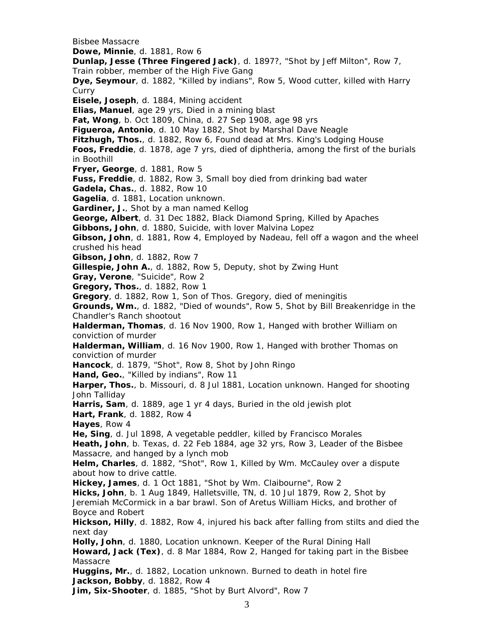Bisbee Massacre **Dowe, Minnie**, d. 1881, Row 6 **Dunlap, Jesse (Three Fingered Jack)**, d. 1897?, "Shot by Jeff Milton", Row 7, Train robber, member of the High Five Gang **Dye, Seymour**, d. 1882, "Killed by indians", Row 5, Wood cutter, killed with Harry Curry **Eisele, Joseph**, d. 1884, Mining accident **Elias, Manuel**, age 29 yrs, Died in a mining blast **Fat, Wong**, b. Oct 1809, China, d. 27 Sep 1908, age 98 yrs **Figueroa, Antonio**, d. 10 May 1882, Shot by Marshal Dave Neagle **Fitzhugh, Thos.**, d. 1882, Row 6, Found dead at Mrs. King's Lodging House **Foos, Freddie**, d. 1878, age 7 yrs, died of diphtheria, among the first of the burials in Boothill **Fryer, George**, d. 1881, Row 5 **Fuss, Freddie**, d. 1882, Row 3, Small boy died from drinking bad water **Gadela, Chas.**, d. 1882, Row 10 **Gagelia**, d. 1881, Location unknown. **Gardiner, J.**, Shot by a man named Kellog **George, Albert**, d. 31 Dec 1882, Black Diamond Spring, Killed by Apaches **Gibbons, John**, d. 1880, Suicide, with lover Malvina Lopez **Gibson, John**, d. 1881, Row 4, Employed by Nadeau, fell off a wagon and the wheel crushed his head **Gibson, John**, d. 1882, Row 7 **Gillespie, John A.**, d. 1882, Row 5, Deputy, shot by Zwing Hunt **Gray, Verone**, "Suicide", Row 2 **Gregory, Thos.**, d. 1882, Row 1 **Gregory**, d. 1882, Row 1, Son of Thos. Gregory, died of meningitis **Grounds, Wm.**, d. 1882, "Died of wounds", Row 5, Shot by Bill Breakenridge in the Chandler's Ranch shootout **Halderman, Thomas**, d. 16 Nov 1900, Row 1, Hanged with brother William on conviction of murder **Halderman, William**, d. 16 Nov 1900, Row 1, Hanged with brother Thomas on conviction of murder **Hancock**, d. 1879, "Shot", Row 8, Shot by John Ringo **Hand, Geo.**, "Killed by indians", Row 11 **Harper, Thos.**, b. Missouri, d. 8 Jul 1881, Location unknown. Hanged for shooting John Talliday **Harris, Sam**, d. 1889, age 1 yr 4 days, Buried in the old jewish plot **Hart, Frank**, d. 1882, Row 4 **Hayes**, Row 4 **He, Sing**, d. Jul 1898, A vegetable peddler, killed by Francisco Morales **Heath, John**, b. Texas, d. 22 Feb 1884, age 32 yrs, Row 3, Leader of the Bisbee Massacre, and hanged by a lynch mob **Helm, Charles**, d. 1882, "Shot", Row 1, Killed by Wm. McCauley over a dispute about how to drive cattle. **Hickey, James**, d. 1 Oct 1881, "Shot by Wm. Claibourne", Row 2 **Hicks, John**, b. 1 Aug 1849, Halletsville, TN, d. 10 Jul 1879, Row 2, Shot by Jeremiah McCormick in a bar brawl. Son of Aretus William Hicks, and brother of Boyce and Robert **Hickson, Hilly**, d. 1882, Row 4, injured his back after falling from stilts and died the next day **Holly, John**, d. 1880, Location unknown. Keeper of the Rural Dining Hall **Howard, Jack (Tex)**, d. 8 Mar 1884, Row 2, Hanged for taking part in the Bisbee Massacre **Huggins, Mr.**, d. 1882, Location unknown. Burned to death in hotel fire **Jackson, Bobby**, d. 1882, Row 4 **Jim, Six-Shooter**, d. 1885, "Shot by Burt Alvord", Row 7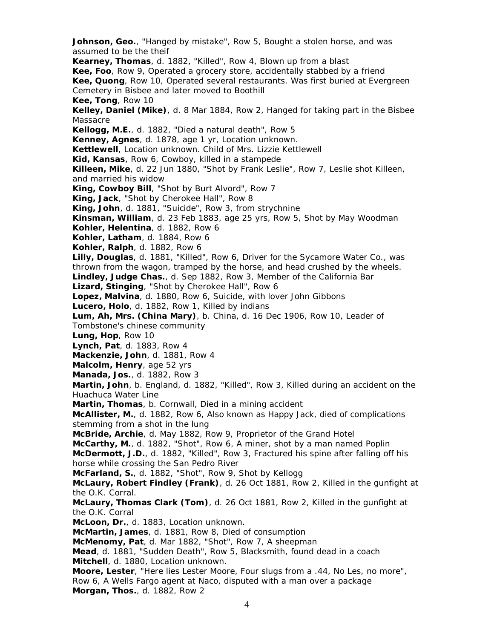**Johnson, Geo.**, "Hanged by mistake", Row 5, Bought a stolen horse, and was assumed to be the theif **Kearney, Thomas**, d. 1882, "Killed", Row 4, Blown up from a blast **Kee, Foo**, Row 9, Operated a grocery store, accidentally stabbed by a friend **Kee, Quong**, Row 10, Operated several restaurants. Was first buried at Evergreen Cemetery in Bisbee and later moved to Boothill **Kee, Tong**, Row 10 **Kelley, Daniel (Mike)**, d. 8 Mar 1884, Row 2, Hanged for taking part in the Bisbee Massacre **Kellogg, M.E.**, d. 1882, "Died a natural death", Row 5 **Kenney, Agnes**, d. 1878, age 1 yr, Location unknown. **Kettlewell**, Location unknown. Child of Mrs. Lizzie Kettlewell **Kid, Kansas**, Row 6, Cowboy, killed in a stampede **Killeen, Mike**, d. 22 Jun 1880, "Shot by Frank Leslie", Row 7, Leslie shot Killeen, and married his widow **King, Cowboy Bill**, "Shot by Burt Alvord", Row 7 **King, Jack**, "Shot by Cherokee Hall", Row 8 **King, John**, d. 1881, "Suicide", Row 3, from strychnine **Kinsman, William**, d. 23 Feb 1883, age 25 yrs, Row 5, Shot by May Woodman **Kohler, Helentina**, d. 1882, Row 6 **Kohler, Latham**, d. 1884, Row 6 **Kohler, Ralph**, d. 1882, Row 6 **Lilly, Douglas**, d. 1881, "Killed", Row 6, Driver for the Sycamore Water Co., was thrown from the wagon, tramped by the horse, and head crushed by the wheels. **Lindley, Judge Chas.**, d. Sep 1882, Row 3, Member of the California Bar **Lizard, Stinging**, "Shot by Cherokee Hall", Row 6 **Lopez, Malvina**, d. 1880, Row 6, Suicide, with lover John Gibbons **Lucero, Holo**, d. 1882, Row 1, Killed by indians **Lum, Ah, Mrs. (China Mary)**, b. China, d. 16 Dec 1906, Row 10, Leader of Tombstone's chinese community **Lung, Hop**, Row 10 **Lynch, Pat**, d. 1883, Row 4 **Mackenzie, John**, d. 1881, Row 4 **Malcolm, Henry**, age 52 yrs **Manada, Jos.**, d. 1882, Row 3 **Martin, John**, b. England, d. 1882, "Killed", Row 3, Killed during an accident on the Huachuca Water Line **Martin, Thomas**, b. Cornwall, Died in a mining accident **McAllister, M.**, d. 1882, Row 6, Also known as Happy Jack, died of complications stemming from a shot in the lung **McBride, Archie**, d. May 1882, Row 9, Proprietor of the Grand Hotel **McCarthy, M.**, d. 1882, "Shot", Row 6, A miner, shot by a man named Poplin **McDermott, J.D.**, d. 1882, "Killed", Row 3, Fractured his spine after falling off his horse while crossing the San Pedro River **McFarland, S.**, d. 1882, "Shot", Row 9, Shot by Kellogg **McLaury, Robert Findley (Frank)**, d. 26 Oct 1881, Row 2, Killed in the gunfight at the O.K. Corral. **McLaury, Thomas Clark (Tom)**, d. 26 Oct 1881, Row 2, Killed in the gunfight at the O.K. Corral **McLoon, Dr.**, d. 1883, Location unknown. **McMartin, James**, d. 1881, Row 8, Died of consumption **McMenomy, Pat**, d. Mar 1882, "Shot", Row 7, A sheepman **Mead**, d. 1881, "Sudden Death", Row 5, Blacksmith, found dead in a coach **Mitchell**, d. 1880, Location unknown. **Moore, Lester**, "Here lies Lester Moore, Four slugs from a .44, No Les, no more", Row 6, A Wells Fargo agent at Naco, disputed with a man over a package **Morgan, Thos.**, d. 1882, Row 2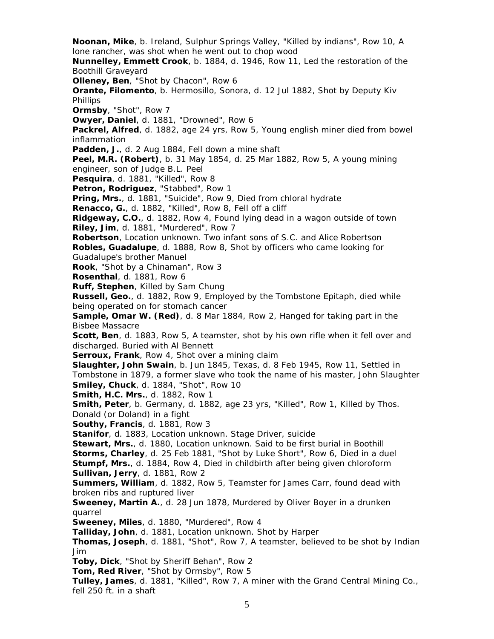**Noonan, Mike**, b. Ireland, Sulphur Springs Valley, "Killed by indians", Row 10, A lone rancher, was shot when he went out to chop wood **Nunnelley, Emmett Crook**, b. 1884, d. 1946, Row 11, Led the restoration of the Boothill Graveyard **Olleney, Ben**, "Shot by Chacon", Row 6 **Orante, Filomento**, b. Hermosillo, Sonora, d. 12 Jul 1882, Shot by Deputy Kiv Phillips **Ormsby**, "Shot", Row 7 **Owyer, Daniel**, d. 1881, "Drowned", Row 6 **Packrel, Alfred**, d. 1882, age 24 yrs, Row 5, Young english miner died from bowel inflammation **Padden, J.**, d. 2 Aug 1884, Fell down a mine shaft **Peel, M.R. (Robert)**, b. 31 May 1854, d. 25 Mar 1882, Row 5, A young mining engineer, son of Judge B.L. Peel **Pesquira**, d. 1881, "Killed", Row 8 **Petron, Rodriguez**, "Stabbed", Row 1 **Pring, Mrs.**, d. 1881, "Suicide", Row 9, Died from chloral hydrate **Renacco, G.**, d. 1882, "Killed", Row 8, Fell off a cliff **Ridgeway, C.O.**, d. 1882, Row 4, Found lying dead in a wagon outside of town **Riley, Jim**, d. 1881, "Murdered", Row 7 **Robertson**, Location unknown. Two infant sons of S.C. and Alice Robertson **Robles, Guadalupe**, d. 1888, Row 8, Shot by officers who came looking for Guadalupe's brother Manuel **Rook**, "Shot by a Chinaman", Row 3 **Rosenthal**, d. 1881, Row 6 **Ruff, Stephen**, Killed by Sam Chung **Russell, Geo.**, d. 1882, Row 9, Employed by the Tombstone Epitaph, died while being operated on for stomach cancer **Sample, Omar W. (Red)**, d. 8 Mar 1884, Row 2, Hanged for taking part in the Bisbee Massacre **Scott, Ben**, d. 1883, Row 5, A teamster, shot by his own rifle when it fell over and discharged. Buried with Al Bennett **Serroux, Frank**, Row 4, Shot over a mining claim **Slaughter, John Swain**, b. Jun 1845, Texas, d. 8 Feb 1945, Row 11, Settled in Tombstone in 1879, a former slave who took the name of his master, John Slaughter **Smiley, Chuck**, d. 1884, "Shot", Row 10 **Smith, H.C. Mrs.**, d. 1882, Row 1 **Smith, Peter**, b. Germany, d. 1882, age 23 yrs, "Killed", Row 1, Killed by Thos. Donald (or Doland) in a fight **Southy, Francis**, d. 1881, Row 3 **Stanifor**, d. 1883, Location unknown. Stage Driver, suicide **Stewart, Mrs.**, d. 1880, Location unknown. Said to be first burial in Boothill **Storms, Charley**, d. 25 Feb 1881, "Shot by Luke Short", Row 6, Died in a duel **Stumpf, Mrs.**, d. 1884, Row 4, Died in childbirth after being given chloroform **Sullivan, Jerry**, d. 1881, Row 2 **Summers, William**, d. 1882, Row 5, Teamster for James Carr, found dead with broken ribs and ruptured liver **Sweeney, Martin A.**, d. 28 Jun 1878, Murdered by Oliver Boyer in a drunken quarrel **Sweeney, Miles**, d. 1880, "Murdered", Row 4 **Talliday, John**, d. 1881, Location unknown. Shot by Harper **Thomas, Joseph**, d. 1881, "Shot", Row 7, A teamster, believed to be shot by Indian Jim **Toby, Dick**, "Shot by Sheriff Behan", Row 2 **Tom, Red River**, "Shot by Ormsby", Row 5 **Tulley, James**, d. 1881, "Killed", Row 7, A miner with the Grand Central Mining Co., fell 250 ft. in a shaft